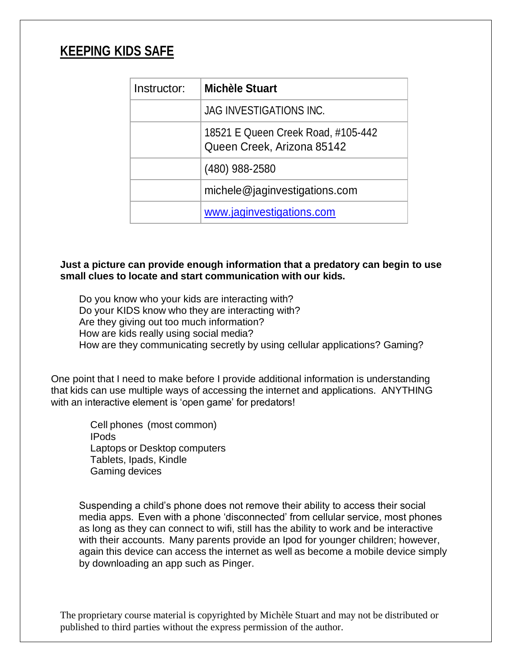# **KEEPING KIDS SAFE**

| Instructor: | <b>Michèle Stuart</b>                                            |
|-------------|------------------------------------------------------------------|
|             | <b>JAG INVESTIGATIONS INC.</b>                                   |
|             | 18521 E Queen Creek Road, #105-442<br>Queen Creek, Arizona 85142 |
|             | (480) 988-2580                                                   |
|             | michele@jaginvestigations.com                                    |
|             | www.jaginvestigations.com                                        |

## **Just a picture can provide enough information that a predatory can begin to use small clues to locate and start communication with our kids.**

Do you know who your kids are interacting with? Do your KIDS know who they are interacting with? Are they giving out too much information? How are kids really using social media? How are they communicating secretly by using cellular applications? Gaming?

One point that I need to make before I provide additional information is understanding that kids can use multiple ways of accessing the internet and applications. ANYTHING with an interactive element is 'open game' for predators!

> Cell phones (most common) IPods Laptops or Desktop computers Tablets, Ipads, Kindle Gaming devices

Suspending a child's phone does not remove their ability to access their social media apps. Even with a phone 'disconnected' from cellular service, most phones as long as they can connect to wifi, still has the ability to work and be interactive with their accounts. Many parents provide an Ipod for younger children; however, again this device can access the internet as well as become a mobile device simply by downloading an app such as Pinger.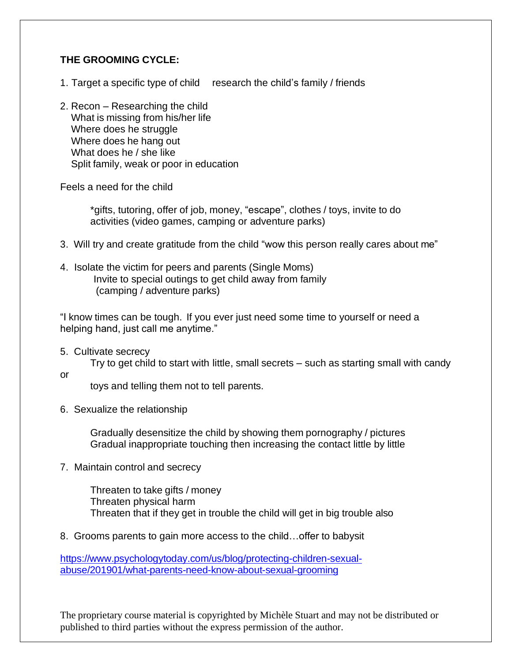## **THE GROOMING CYCLE:**

- 1. Target a specific type of child research the child's family / friends
- 2. Recon Researching the child What is missing from his/her life Where does he struggle Where does he hang out What does he / she like Split family, weak or poor in education

Feels a need for the child

\*gifts, tutoring, offer of job, money, "escape", clothes / toys, invite to do activities (video games, camping or adventure parks)

- 3. Will try and create gratitude from the child "wow this person really cares about me"
- 4. Isolate the victim for peers and parents (Single Moms) Invite to special outings to get child away from family (camping / adventure parks)

"I know times can be tough. If you ever just need some time to yourself or need a helping hand, just call me anytime."

5. Cultivate secrecy

Try to get child to start with little, small secrets – such as starting small with candy

or

toys and telling them not to tell parents.

6. Sexualize the relationship

Gradually desensitize the child by showing them pornography / pictures Gradual inappropriate touching then increasing the contact little by little

7. Maintain control and secrecy

Threaten to take gifts / money Threaten physical harm Threaten that if they get in trouble the child will get in big trouble also

8. Grooms parents to gain more access to the child…offer to babysit

[https://www.psychologytoday.com/us/blog/protecting-children-sexual](https://www.psychologytoday.com/us/blog/protecting-children-sexual-abuse/201901/what-parents-need-know-about-sexual-grooming)[abuse/201901/what-parents-need-know-about-sexual-grooming](https://www.psychologytoday.com/us/blog/protecting-children-sexual-abuse/201901/what-parents-need-know-about-sexual-grooming)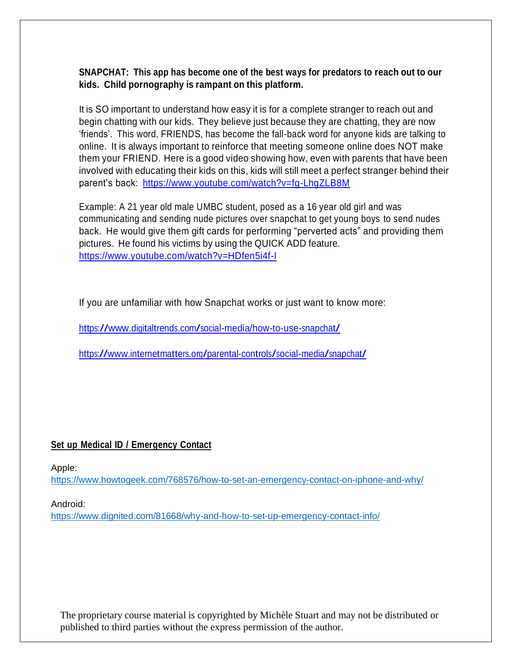### **SNAPCHAT: This app has become one of the best ways for predators to reach out to our kids. Child pornography is rampant on this platform.**

It is SO important to understand how easy it is for a complete stranger to reach out and begin chatting with our kids. They believe just because they are chatting, they are now 'friends'. This word, FRIENDS, has become the fall-back word for anyone kids are talking to online. It is always important to reinforce that meeting someone online does NOT make them your FRIEND. Here is a good video showing how, even with parents that have been involved with educating their kids on this, kids will still meet a perfect stranger behind their parent's back: <https://www.youtube.com/watch?v=fg-LhgZLB8M>

Example: A 21 year old male UMBC student, posed as a 16 year old girl and was communicating and sending nude pictures over snapchat to get young boys to send nudes back. He would give them gift cards for performing "perverted acts" and providing them pictures. He found his victims by using the QUICK ADD feature. <https://www.youtube.com/watch?v=HDfen5i4f-I>

If you are unfamiliar with how Snapchat works or just want to know more:

<https://www.digitaltrends.com/social-media/how-to-use-snapchat/>

<https://www.internetmatters.org/parental-controls/social-media/snapchat/>

### **Set up Medical ID / Emergency Contact**

Apple:

<https://www.howtogeek.com/768576/how-to-set-an-emergency-contact-on-iphone-and-why/>

Android:

<https://www.dignited.com/81668/why-and-how-to-set-up-emergency-contact-info/>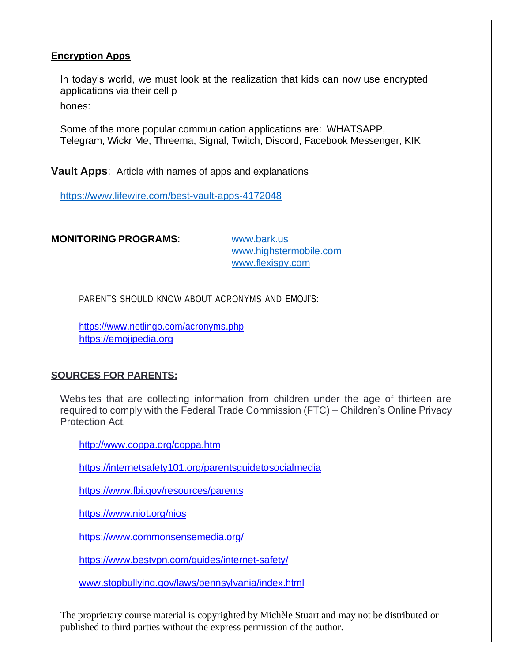#### **Encryption Apps**

In today's world, we must look at the realization that kids can now use encrypted applications via their cell p

hones:

Some of the more popular communication applications are: WHATSAPP, Telegram, Wickr Me, Threema, Signal, Twitch, Discord, Facebook Messenger, KIK

**Vault Apps**: Article with names of apps and explanations

<https://www.lifewire.com/best-vault-apps-4172048>

**MONITORING PROGRAMS**: [www.bark.us](http://www.bark.us/)

[www.highstermobile.com](http://www.highstermobile.com/)  [www.flexispy.com](http://www.flexispy.com/)

PARENTS SHOULD KNOW ABOUT ACRONYMS AND EMOJI'S:

<https://www.netlingo.com/acronyms.php> [https://emojipedia.org](https://emojipedia.org/)

#### **SOURCES FOR PARENTS:**

Websites that are collecting information from children under the age of thirteen are required to comply with the Federal Trade Commission (FTC) – Children's Online Privacy Protection Act.

<http://www.coppa.org/coppa.htm>

<https://internetsafety101.org/parentsguidetosocialmedia>

<https://www.fbi.gov/resources/parents>

<https://www.niot.org/nios>

<https://www.commonsensemedia.org/>

<https://www.bestvpn.com/guides/internet-safety/>

[www.stopbullying.gov/laws/pennsylvania/index.html](http://www.stopbullying.gov/laws/pennsylvania/index.html)